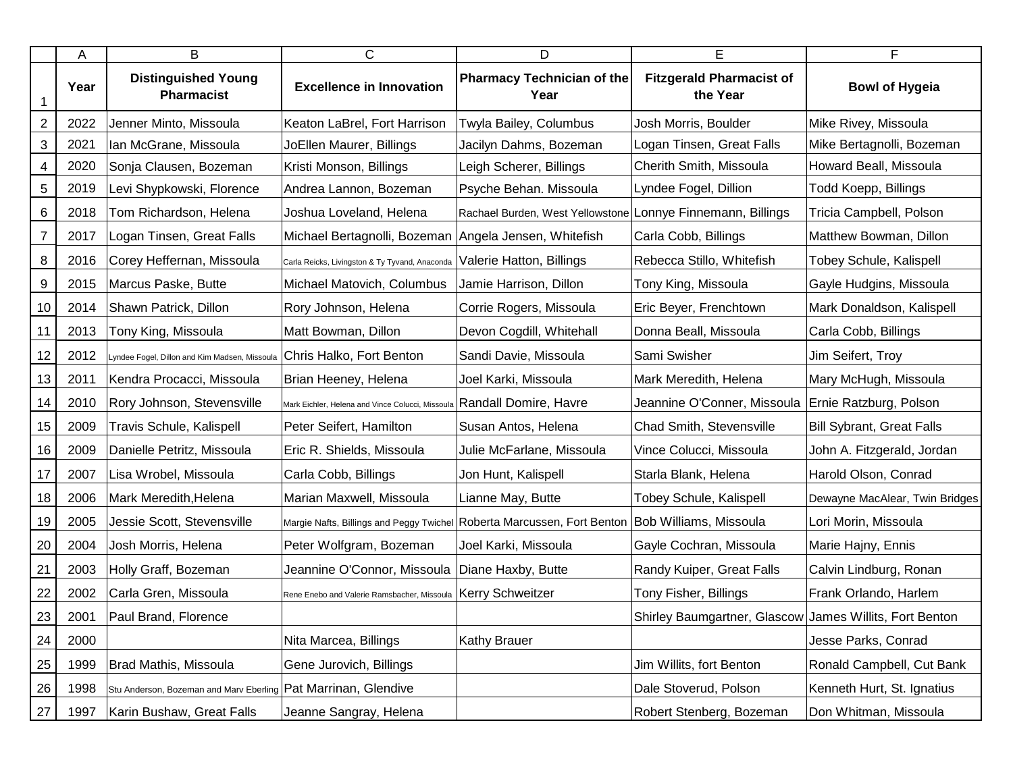|                         | A    | B                                                              | $\mathsf{C}$                                                           | D                                                                                              | E.                                                      | F                                |
|-------------------------|------|----------------------------------------------------------------|------------------------------------------------------------------------|------------------------------------------------------------------------------------------------|---------------------------------------------------------|----------------------------------|
|                         | Year | <b>Distinguished Young</b><br><b>Pharmacist</b>                | <b>Excellence in Innovation</b>                                        | <b>Pharmacy Technician of the</b><br>Year                                                      | <b>Fitzgerald Pharmacist of</b><br>the Year             | <b>Bowl of Hygeia</b>            |
| $\overline{\mathbf{c}}$ | 2022 | Jenner Minto, Missoula                                         | Keaton LaBrel, Fort Harrison                                           | Twyla Bailey, Columbus                                                                         | Josh Morris, Boulder                                    | Mike Rivey, Missoula             |
| 3                       | 2021 | Ian McGrane, Missoula                                          | JoEllen Maurer, Billings                                               | Jacilyn Dahms, Bozeman                                                                         | Logan Tinsen, Great Falls                               | Mike Bertagnolli, Bozeman        |
| 4                       | 2020 | Sonja Clausen, Bozeman                                         | Kristi Monson, Billings                                                | Leigh Scherer, Billings                                                                        | Cherith Smith, Missoula                                 | Howard Beall, Missoula           |
| 5                       | 2019 | Levi Shypkowski, Florence                                      | Andrea Lannon, Bozeman                                                 | Psyche Behan. Missoula                                                                         | Lyndee Fogel, Dillion                                   | Todd Koepp, Billings             |
| 6                       | 2018 | Tom Richardson, Helena                                         | Joshua Loveland, Helena                                                | Rachael Burden, West Yellowstone Lonnye Finnemann, Billings                                    |                                                         | Tricia Campbell, Polson          |
| 7                       | 2017 | Logan Tinsen, Great Falls                                      | Michael Bertagnolli, Bozeman Angela Jensen, Whitefish                  |                                                                                                | Carla Cobb, Billings                                    | Matthew Bowman, Dillon           |
| 8                       | 2016 | Corey Heffernan, Missoula                                      | Carla Reicks, Livingston & Ty Tyvand, Anaconda                         | Valerie Hatton, Billings                                                                       | Rebecca Stillo, Whitefish                               | Tobey Schule, Kalispell          |
| $\boldsymbol{9}$        | 2015 | Marcus Paske, Butte                                            | Michael Matovich, Columbus                                             | Jamie Harrison, Dillon                                                                         | Tony King, Missoula                                     | Gayle Hudgins, Missoula          |
| 10                      | 2014 | Shawn Patrick, Dillon                                          | Rory Johnson, Helena                                                   | Corrie Rogers, Missoula                                                                        | Eric Beyer, Frenchtown                                  | Mark Donaldson, Kalispell        |
| 11                      | 2013 | Tony King, Missoula                                            | Matt Bowman, Dillon                                                    | Devon Cogdill, Whitehall                                                                       | Donna Beall, Missoula                                   | Carla Cobb, Billings             |
| 12                      | 2012 | Lyndee Fogel, Dillon and Kim Madsen, Missoula                  | Chris Halko, Fort Benton                                               | Sandi Davie, Missoula                                                                          | Sami Swisher                                            | Jim Seifert, Troy                |
| 13                      | 2011 | Kendra Procacci, Missoula                                      | Brian Heeney, Helena                                                   | Joel Karki, Missoula                                                                           | Mark Meredith, Helena                                   | Mary McHugh, Missoula            |
| 14                      | 2010 | Rory Johnson, Stevensville                                     | Mark Eichler, Helena and Vince Colucci, Missoula Randall Domire, Havre |                                                                                                | Jeannine O'Conner, Missoula                             | <b>Ernie Ratzburg, Polson</b>    |
| 15                      | 2009 | Travis Schule, Kalispell                                       | Peter Seifert, Hamilton                                                | Susan Antos, Helena                                                                            | Chad Smith, Stevensville                                | <b>Bill Sybrant, Great Falls</b> |
| 16                      | 2009 | Danielle Petritz, Missoula                                     | Eric R. Shields, Missoula                                              | Julie McFarlane, Missoula                                                                      | Vince Colucci, Missoula                                 | John A. Fitzgerald, Jordan       |
| 17                      | 2007 | Lisa Wrobel, Missoula                                          | Carla Cobb, Billings                                                   | Jon Hunt, Kalispell                                                                            | Starla Blank, Helena                                    | Harold Olson, Conrad             |
| 18                      | 2006 | Mark Meredith, Helena                                          | Marian Maxwell, Missoula                                               | Lianne May, Butte                                                                              | <b>Tobey Schule, Kalispell</b>                          | Dewayne MacAlear, Twin Bridges   |
| 19                      | 2005 | Jessie Scott, Stevensville                                     |                                                                        | Margie Nafts, Billings and Peggy Twichel Roberta Marcussen, Fort Benton Bob Williams, Missoula |                                                         | Lori Morin, Missoula             |
| 20                      | 2004 | Josh Morris, Helena                                            | Peter Wolfgram, Bozeman                                                | Joel Karki, Missoula                                                                           | Gayle Cochran, Missoula                                 | Marie Hajny, Ennis               |
| 21                      | 2003 | Holly Graff, Bozeman                                           | Jeannine O'Connor, Missoula  Diane Haxby, Butte                        |                                                                                                | Randy Kuiper, Great Falls                               | Calvin Lindburg, Ronan           |
| 22                      | 2002 | Carla Gren, Missoula                                           | Rene Enebo and Valerie Ramsbacher, Missoula   Kerry Schweitzer         |                                                                                                | Tony Fisher, Billings                                   | Frank Orlando, Harlem            |
| $\frac{23}{2}$          | 2001 | Paul Brand, Florence                                           |                                                                        |                                                                                                | Shirley Baumgartner, Glascow James Willits, Fort Benton |                                  |
| 24                      | 2000 |                                                                | Nita Marcea, Billings                                                  | <b>Kathy Brauer</b>                                                                            |                                                         | Jesse Parks, Conrad              |
| 25                      | 1999 | Brad Mathis, Missoula                                          | Gene Jurovich, Billings                                                |                                                                                                | Jim Willits, fort Benton                                | Ronald Campbell, Cut Bank        |
| 26                      | 1998 | Stu Anderson, Bozeman and Marv Eberling Pat Marrinan, Glendive |                                                                        |                                                                                                | Dale Stoverud, Polson                                   | Kenneth Hurt, St. Ignatius       |
| 27                      | 1997 | Karin Bushaw, Great Falls                                      | Jeanne Sangray, Helena                                                 |                                                                                                | Robert Stenberg, Bozeman                                | Don Whitman, Missoula            |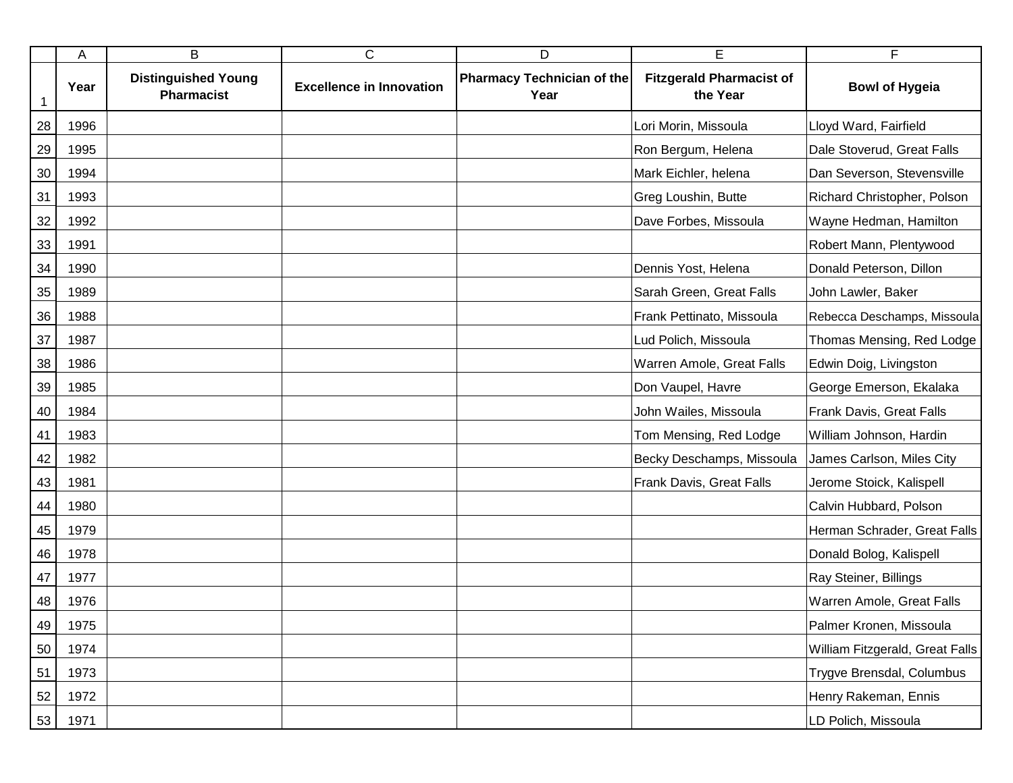|    | Α    | B                                               | $\mathsf C$                     | D                                         | E                                           | F                               |
|----|------|-------------------------------------------------|---------------------------------|-------------------------------------------|---------------------------------------------|---------------------------------|
| 1  | Year | <b>Distinguished Young</b><br><b>Pharmacist</b> | <b>Excellence in Innovation</b> | <b>Pharmacy Technician of the</b><br>Year | <b>Fitzgerald Pharmacist of</b><br>the Year | <b>Bowl of Hygeia</b>           |
| 28 | 1996 |                                                 |                                 |                                           | Lori Morin, Missoula                        | Lloyd Ward, Fairfield           |
| 29 | 1995 |                                                 |                                 |                                           | Ron Bergum, Helena                          | Dale Stoverud, Great Falls      |
| 30 | 1994 |                                                 |                                 |                                           | Mark Eichler, helena                        | Dan Severson, Stevensville      |
| 31 | 1993 |                                                 |                                 |                                           | Greg Loushin, Butte                         | Richard Christopher, Polson     |
| 32 | 1992 |                                                 |                                 |                                           | Dave Forbes, Missoula                       | Wayne Hedman, Hamilton          |
| 33 | 1991 |                                                 |                                 |                                           |                                             | Robert Mann, Plentywood         |
| 34 | 1990 |                                                 |                                 |                                           | Dennis Yost, Helena                         | Donald Peterson, Dillon         |
| 35 | 1989 |                                                 |                                 |                                           | Sarah Green, Great Falls                    | John Lawler, Baker              |
| 36 | 1988 |                                                 |                                 |                                           | Frank Pettinato, Missoula                   | Rebecca Deschamps, Missoula     |
| 37 | 1987 |                                                 |                                 |                                           | Lud Polich, Missoula                        | Thomas Mensing, Red Lodge       |
| 38 | 1986 |                                                 |                                 |                                           | Warren Amole, Great Falls                   | Edwin Doig, Livingston          |
| 39 | 1985 |                                                 |                                 |                                           | Don Vaupel, Havre                           | George Emerson, Ekalaka         |
| 40 | 1984 |                                                 |                                 |                                           | John Wailes, Missoula                       | Frank Davis, Great Falls        |
| 41 | 1983 |                                                 |                                 |                                           | Tom Mensing, Red Lodge                      | William Johnson, Hardin         |
| 42 | 1982 |                                                 |                                 |                                           | Becky Deschamps, Missoula                   | James Carlson, Miles City       |
| 43 | 1981 |                                                 |                                 |                                           | Frank Davis, Great Falls                    | Jerome Stoick, Kalispell        |
| 44 | 1980 |                                                 |                                 |                                           |                                             | Calvin Hubbard, Polson          |
| 45 | 1979 |                                                 |                                 |                                           |                                             | Herman Schrader, Great Falls    |
| 46 | 1978 |                                                 |                                 |                                           |                                             | Donald Bolog, Kalispell         |
| 47 | 1977 |                                                 |                                 |                                           |                                             | Ray Steiner, Billings           |
| 48 | 1976 |                                                 |                                 |                                           |                                             | Warren Amole, Great Falls       |
| 49 | 1975 |                                                 |                                 |                                           |                                             | Palmer Kronen, Missoula         |
| 50 | 1974 |                                                 |                                 |                                           |                                             | William Fitzgerald, Great Falls |
| 51 | 1973 |                                                 |                                 |                                           |                                             | Trygve Brensdal, Columbus       |
| 52 | 1972 |                                                 |                                 |                                           |                                             | Henry Rakeman, Ennis            |
| 53 | 1971 |                                                 |                                 |                                           |                                             | LD Polich, Missoula             |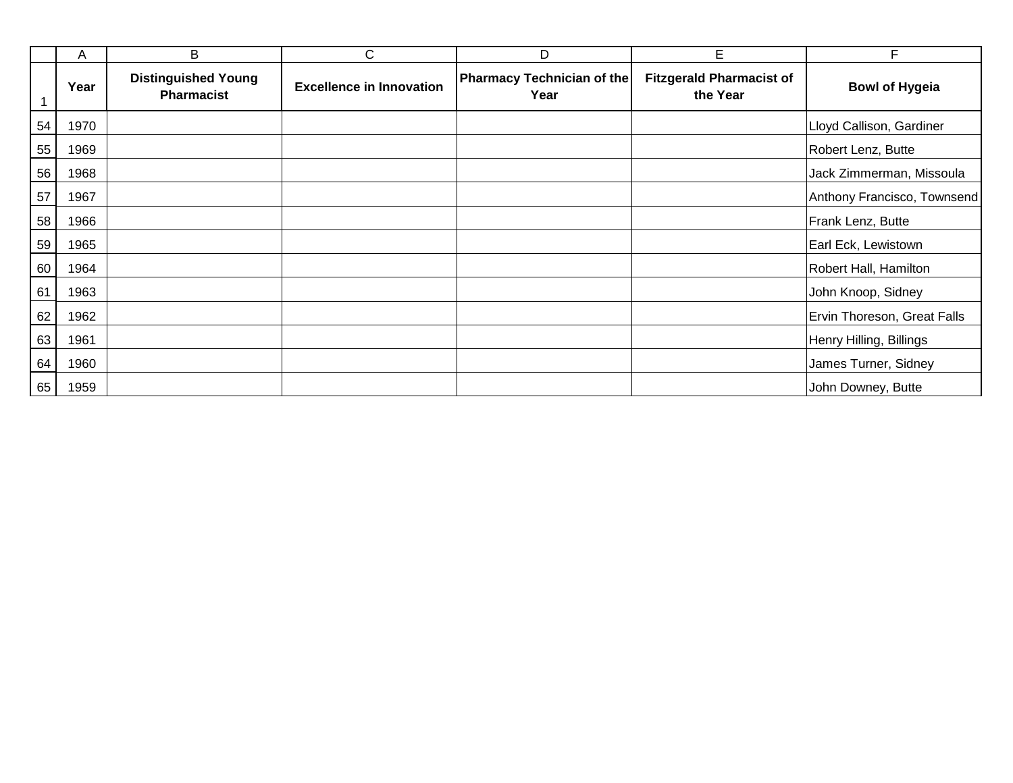|    | A    | B                                               | C                               | D                                         | E                                           | F                           |
|----|------|-------------------------------------------------|---------------------------------|-------------------------------------------|---------------------------------------------|-----------------------------|
|    | Year | <b>Distinguished Young</b><br><b>Pharmacist</b> | <b>Excellence in Innovation</b> | <b>Pharmacy Technician of the</b><br>Year | <b>Fitzgerald Pharmacist of</b><br>the Year | <b>Bowl of Hygeia</b>       |
| 54 | 1970 |                                                 |                                 |                                           |                                             | Lloyd Callison, Gardiner    |
| 55 | 1969 |                                                 |                                 |                                           |                                             | Robert Lenz, Butte          |
| 56 | 1968 |                                                 |                                 |                                           |                                             | Jack Zimmerman, Missoula    |
| 57 | 1967 |                                                 |                                 |                                           |                                             | Anthony Francisco, Townsend |
| 58 | 1966 |                                                 |                                 |                                           |                                             | Frank Lenz, Butte           |
| 59 | 1965 |                                                 |                                 |                                           |                                             | Earl Eck, Lewistown         |
| 60 | 1964 |                                                 |                                 |                                           |                                             | Robert Hall, Hamilton       |
| 61 | 1963 |                                                 |                                 |                                           |                                             | John Knoop, Sidney          |
| 62 | 1962 |                                                 |                                 |                                           |                                             | Ervin Thoreson, Great Falls |
| 63 | 1961 |                                                 |                                 |                                           |                                             | Henry Hilling, Billings     |
| 64 | 1960 |                                                 |                                 |                                           |                                             | James Turner, Sidney        |
| 65 | 1959 |                                                 |                                 |                                           |                                             | John Downey, Butte          |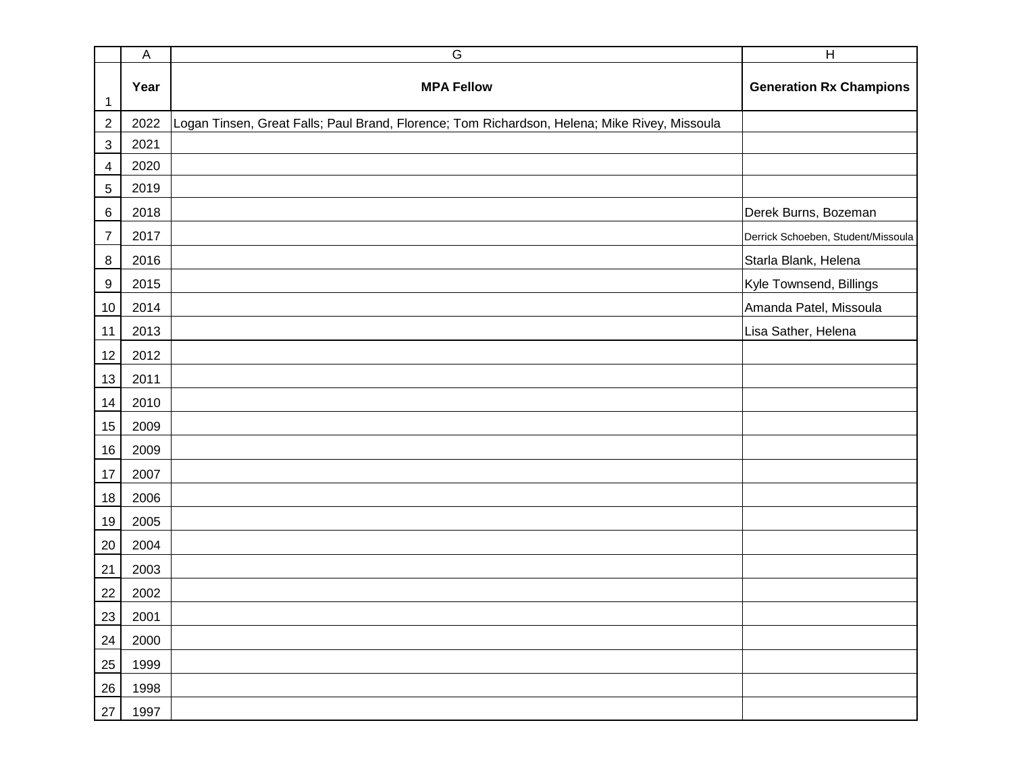|                  | $\mathsf A$ | G                                                                                             | $\overline{H}$                     |
|------------------|-------------|-----------------------------------------------------------------------------------------------|------------------------------------|
| 1                | Year        | <b>MPA Fellow</b>                                                                             | <b>Generation Rx Champions</b>     |
| $\overline{2}$   | 2022        | Logan Tinsen, Great Falls; Paul Brand, Florence; Tom Richardson, Helena; Mike Rivey, Missoula |                                    |
| $\mathbf{3}$     | 2021        |                                                                                               |                                    |
| 4                | 2020        |                                                                                               |                                    |
| 5                | 2019        |                                                                                               |                                    |
| $6\phantom{1}6$  | 2018        |                                                                                               | Derek Burns, Bozeman               |
| $\boldsymbol{7}$ | 2017        |                                                                                               | Derrick Schoeben, Student/Missoula |
| $\bf8$           | 2016        |                                                                                               | Starla Blank, Helena               |
| $9\,$            | 2015        |                                                                                               | Kyle Townsend, Billings            |
| 10               | 2014        |                                                                                               | Amanda Patel, Missoula             |
| 11               | 2013        |                                                                                               | Lisa Sather, Helena                |
| 12               | 2012        |                                                                                               |                                    |
| 13               | 2011        |                                                                                               |                                    |
| 14               | 2010        |                                                                                               |                                    |
| 15               | 2009        |                                                                                               |                                    |
| 16               | 2009        |                                                                                               |                                    |
| 17               | 2007        |                                                                                               |                                    |
| 18               | 2006        |                                                                                               |                                    |
| 19               | 2005        |                                                                                               |                                    |
| 20               | 2004        |                                                                                               |                                    |
| 21               | 2003        |                                                                                               |                                    |
| 22               | 2002        |                                                                                               |                                    |
| 23               | 2001        |                                                                                               |                                    |
| 24               | 2000        |                                                                                               |                                    |
| 25               | 1999        |                                                                                               |                                    |
| $26\,$           | 1998        |                                                                                               |                                    |
| 27               | 1997        |                                                                                               |                                    |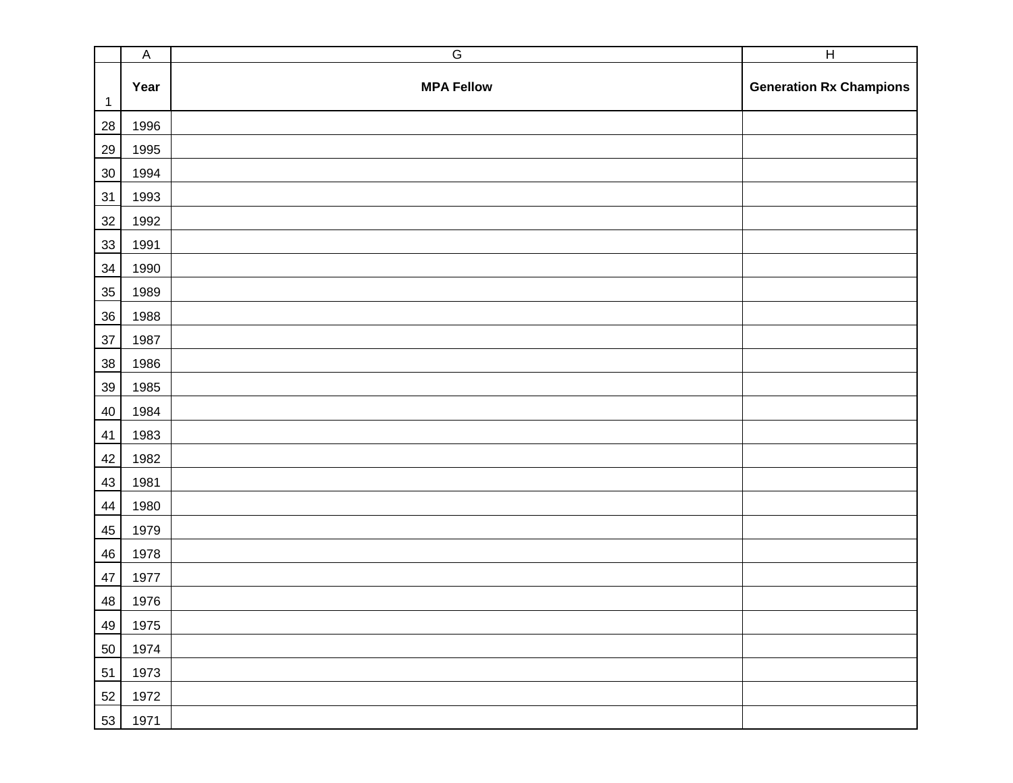|              | $\overline{A}$ | $\overline{G}$    | $\overline{H}$                 |
|--------------|----------------|-------------------|--------------------------------|
| $\mathbf{1}$ | Year           | <b>MPA Fellow</b> | <b>Generation Rx Champions</b> |
| 28           | 1996           |                   |                                |
| 29           | 1995           |                   |                                |
| 30           | 1994           |                   |                                |
| 31           | 1993           |                   |                                |
| $32\,$       | 1992           |                   |                                |
| 33           | 1991           |                   |                                |
| 34           | 1990           |                   |                                |
| 35           | 1989           |                   |                                |
| 36           | 1988           |                   |                                |
| $37\,$       | 1987           |                   |                                |
| $38\,$       | 1986           |                   |                                |
| 39           | 1985           |                   |                                |
| 40           | 1984           |                   |                                |
| 41           | 1983           |                   |                                |
| 42           | 1982           |                   |                                |
| 43           | 1981           |                   |                                |
| 44           | 1980           |                   |                                |
| 45           | 1979           |                   |                                |
| 46           | 1978           |                   |                                |
| 47           | 1977           |                   |                                |
| 48           | 1976           |                   |                                |
| 49           | 1975           |                   |                                |
| 50           | 1974           |                   |                                |
| 51           | 1973           |                   |                                |
| 52           | 1972           |                   |                                |
| 53           | 1971           |                   |                                |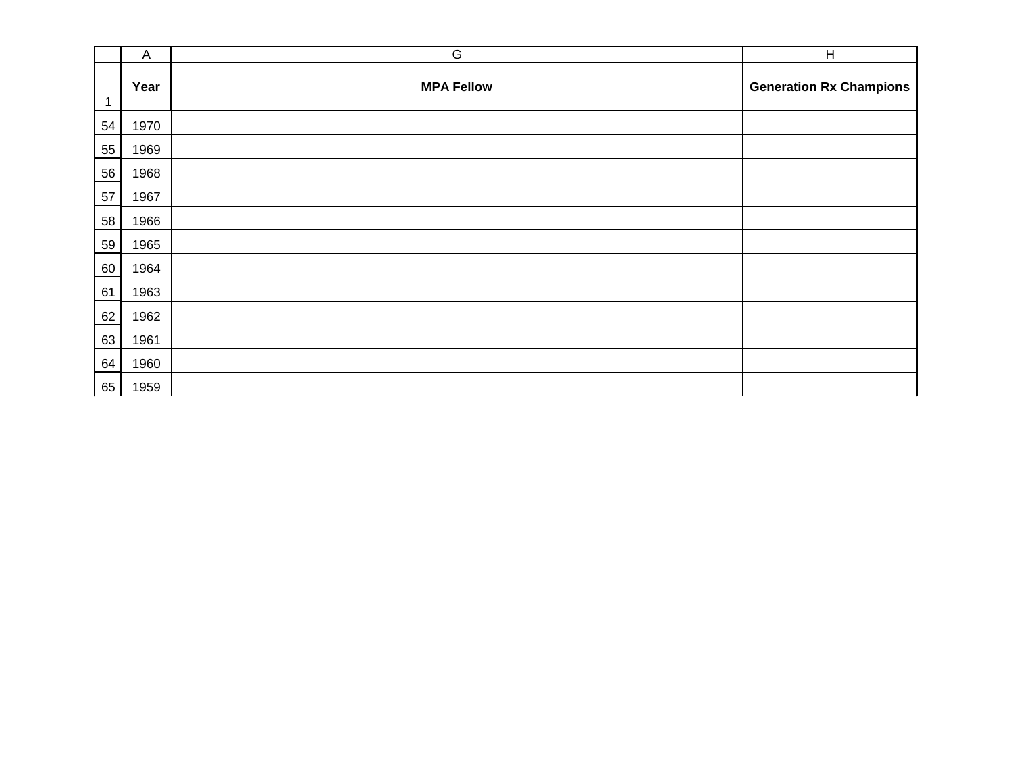|    | A    | G                 | $\overline{H}$                 |
|----|------|-------------------|--------------------------------|
| 1  | Year | <b>MPA Fellow</b> | <b>Generation Rx Champions</b> |
| 54 | 1970 |                   |                                |
| 55 | 1969 |                   |                                |
| 56 | 1968 |                   |                                |
| 57 | 1967 |                   |                                |
| 58 | 1966 |                   |                                |
| 59 | 1965 |                   |                                |
| 60 | 1964 |                   |                                |
| 61 | 1963 |                   |                                |
| 62 | 1962 |                   |                                |
| 63 | 1961 |                   |                                |
| 64 | 1960 |                   |                                |
| 65 | 1959 |                   |                                |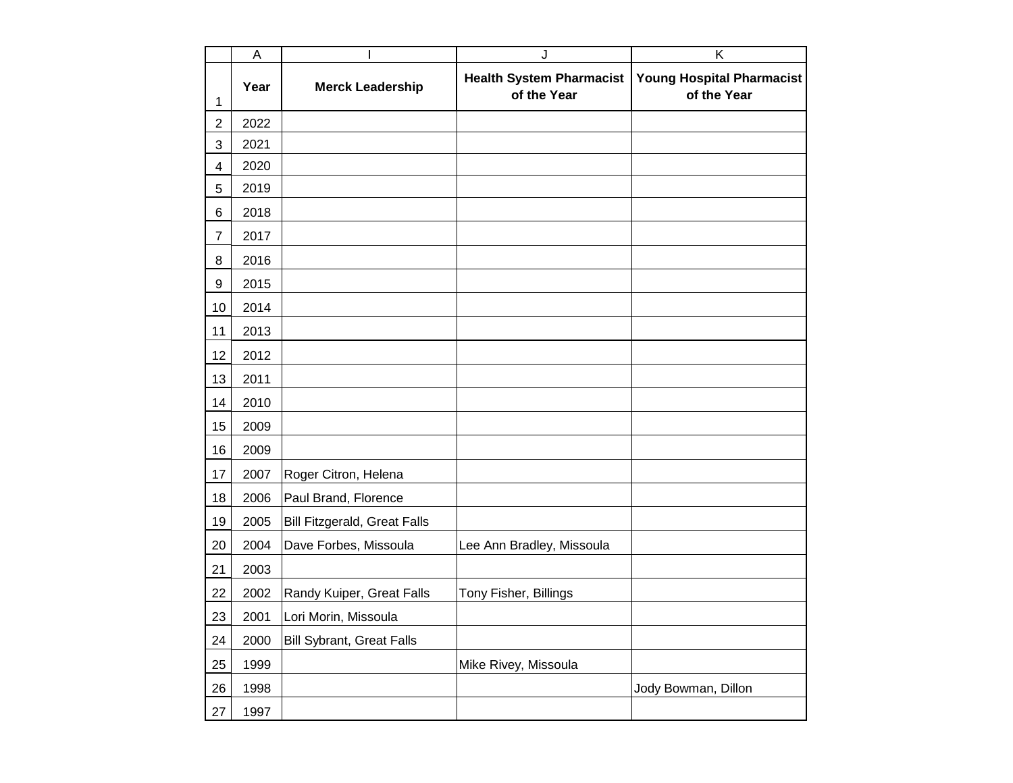|                  | $\overline{A}$ |                                     | J                                              | Κ                                               |
|------------------|----------------|-------------------------------------|------------------------------------------------|-------------------------------------------------|
| 1                | Year           | <b>Merck Leadership</b>             | <b>Health System Pharmacist</b><br>of the Year | <b>Young Hospital Pharmacist</b><br>of the Year |
| $\overline{c}$   | 2022           |                                     |                                                |                                                 |
| 3                | 2021           |                                     |                                                |                                                 |
| 4                | 2020           |                                     |                                                |                                                 |
| 5                | 2019           |                                     |                                                |                                                 |
| 6                | 2018           |                                     |                                                |                                                 |
| $\overline{7}$   | 2017           |                                     |                                                |                                                 |
| 8                | 2016           |                                     |                                                |                                                 |
| $\boldsymbol{9}$ | 2015           |                                     |                                                |                                                 |
| 10               | 2014           |                                     |                                                |                                                 |
| 11               | 2013           |                                     |                                                |                                                 |
| 12               | 2012           |                                     |                                                |                                                 |
| 13               | 2011           |                                     |                                                |                                                 |
| 14               | 2010           |                                     |                                                |                                                 |
| 15               | 2009           |                                     |                                                |                                                 |
| 16               | 2009           |                                     |                                                |                                                 |
| 17               | 2007           | Roger Citron, Helena                |                                                |                                                 |
| 18               | 2006           | Paul Brand, Florence                |                                                |                                                 |
| 19               | 2005           | <b>Bill Fitzgerald, Great Falls</b> |                                                |                                                 |
| 20               | 2004           | Dave Forbes, Missoula               | Lee Ann Bradley, Missoula                      |                                                 |
| 21               | 2003           |                                     |                                                |                                                 |
| 22               | 2002           | Randy Kuiper, Great Falls           | Tony Fisher, Billings                          |                                                 |
| 23               | 2001           | Lori Morin, Missoula                |                                                |                                                 |
| 24               | 2000           | <b>Bill Sybrant, Great Falls</b>    |                                                |                                                 |
| 25               | 1999           |                                     | Mike Rivey, Missoula                           |                                                 |
| 26               | 1998           |                                     |                                                | Jody Bowman, Dillon                             |
| 27               | 1997           |                                     |                                                |                                                 |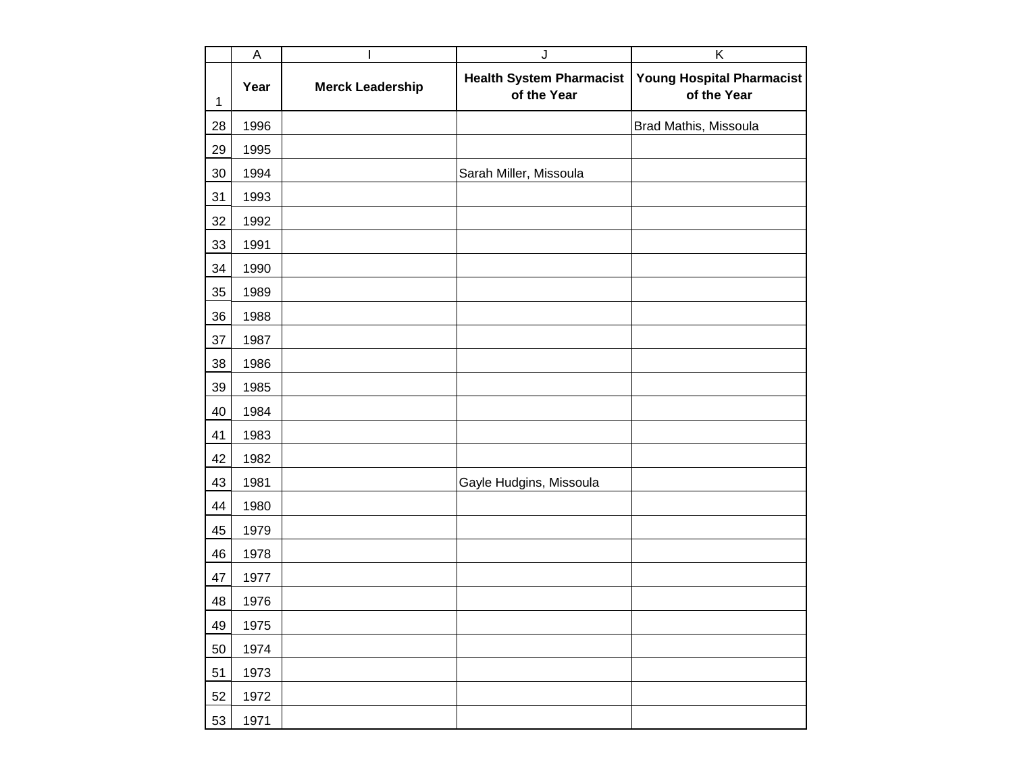|              | $\overline{A}$ |                         | J                                              | $\overline{K}$                                  |
|--------------|----------------|-------------------------|------------------------------------------------|-------------------------------------------------|
| $\mathbf{1}$ | Year           | <b>Merck Leadership</b> | <b>Health System Pharmacist</b><br>of the Year | <b>Young Hospital Pharmacist</b><br>of the Year |
| 28           | 1996           |                         |                                                | Brad Mathis, Missoula                           |
| 29           | 1995           |                         |                                                |                                                 |
| 30           | 1994           |                         | Sarah Miller, Missoula                         |                                                 |
| 31           | 1993           |                         |                                                |                                                 |
| 32           | 1992           |                         |                                                |                                                 |
| 33           | 1991           |                         |                                                |                                                 |
| 34           | 1990           |                         |                                                |                                                 |
| 35           | 1989           |                         |                                                |                                                 |
| 36           | 1988           |                         |                                                |                                                 |
| 37           | 1987           |                         |                                                |                                                 |
| 38           | 1986           |                         |                                                |                                                 |
| 39           | 1985           |                         |                                                |                                                 |
| 40           | 1984           |                         |                                                |                                                 |
| 41           | 1983           |                         |                                                |                                                 |
| 42           | 1982           |                         |                                                |                                                 |
| 43           | 1981           |                         | Gayle Hudgins, Missoula                        |                                                 |
| 44           | 1980           |                         |                                                |                                                 |
| 45           | 1979           |                         |                                                |                                                 |
| 46           | 1978           |                         |                                                |                                                 |
| 47           | 1977           |                         |                                                |                                                 |
| 48           | 1976           |                         |                                                |                                                 |
| 49           | 1975           |                         |                                                |                                                 |
| 50           | 1974           |                         |                                                |                                                 |
| 51           | 1973           |                         |                                                |                                                 |
| 52           | 1972           |                         |                                                |                                                 |
| 53           | 1971           |                         |                                                |                                                 |